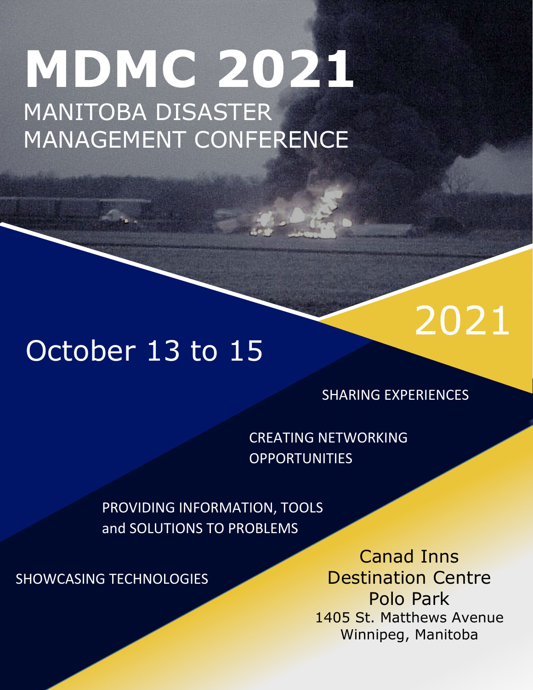# MANITOBA DISASTER MANAGEMENT CONFERENCE 2021 **MDMC 2021** MANITOBA DISASTER MANAGEMENT CONFERENCE



SHARING EXPERIENCES

2021

CREATING NETWORKING **OPPORTUNITIES** 

PROVIDING INFORMATION, TOOLS and SOLUTIONS TO PROBLEMS

SHOWCASING TECHNOLOGIES

Canad Inns Destination Centre Polo Park 1405 St. Matthews Avenue Winnipeg, Manitoba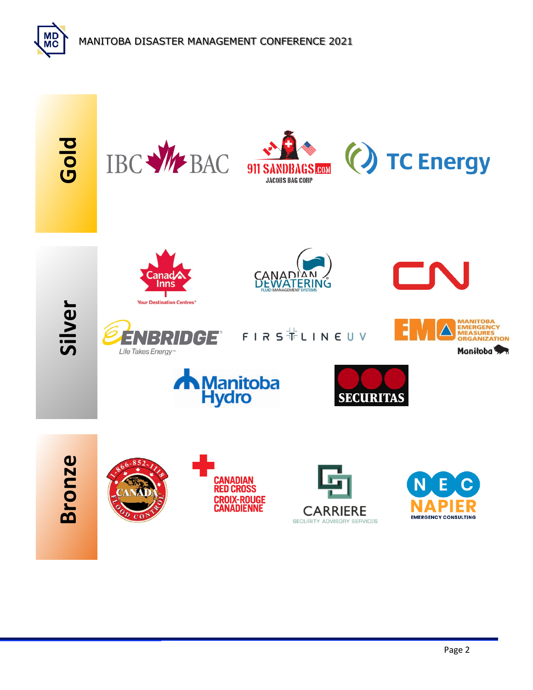

MD<br>MC

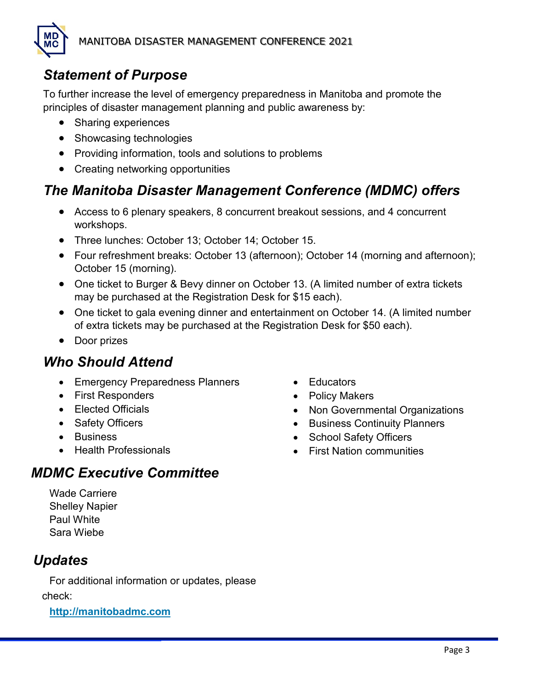# *Statement of Purpose*

To further increase the level of emergency preparedness in Manitoba and promote the principles of disaster management planning and public awareness by:

- Sharing experiences
- Showcasing technologies
- Providing information, tools and solutions to problems
- Creating networking opportunities

# *The Manitoba Disaster Management Conference (MDMC) offers*

- Access to 6 plenary speakers, 8 concurrent breakout sessions, and 4 concurrent workshops.
- Three lunches: October 13; October 14; October 15.
- Four refreshment breaks: October 13 (afternoon); October 14 (morning and afternoon); October 15 (morning).
- One ticket to Burger & Bevy dinner on October 13. (A limited number of extra tickets may be purchased at the Registration Desk for \$15 each).
- One ticket to gala evening dinner and entertainment on October 14. (A limited number of extra tickets may be purchased at the Registration Desk for \$50 each).
- Door prizes

# *Who Should Attend*

- Emergency Preparedness Planners
- First Responders
- Elected Officials
- Safety Officers
- Business
- Health Professionals
- Educators
- Policy Makers
- Non Governmental Organizations
- Business Continuity Planners
- School Safety Officers
- First Nation communities

### *MDMC Executive Committee*

Wade Carriere Shelley Napier Paul White Sara Wiebe

# *Updates*

For additional information or updates, please check:

**[http://manitobadmc.com](http://manitobadmc.com/)**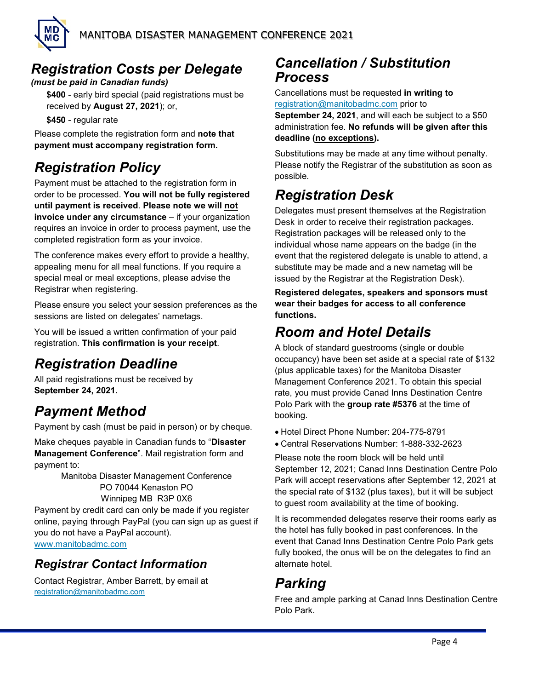

# *Registration Costs per Delegate*

*(must be paid in Canadian funds)*

**\$400** - early bird special (paid registrations must be received by **August 27, 2021**); or,

**\$450** - regular rate

Please complete the registration form and **note that payment must accompany registration form.**

# *Registration Policy*

Payment must be attached to the registration form in order to be processed. **You will not be fully registered until payment is received**. **Please note we will not invoice under any circumstance** – if your organization requires an invoice in order to process payment, use the completed registration form as your invoice.

The conference makes every effort to provide a healthy, appealing menu for all meal functions. If you require a special meal or meal exceptions, please advise the Registrar when registering.

Please ensure you select your session preferences as the sessions are listed on delegates' nametags.

You will be issued a written confirmation of your paid registration. **This confirmation is your receipt**.

# *Registration Deadline*

All paid registrations must be received by **September 24, 2021.**

# *Payment Method*

Payment by cash (must be paid in person) or by cheque.

Make cheques payable in Canadian funds to "**Disaster Management Conference**". Mail registration form and payment to:

> Manitoba Disaster Management Conference PO 70044 Kenaston PO Winnipeg MB R3P 0X6

Payment by credit card can only be made if you register online, paying through PayPal (you can sign up as guest if you do not have a PayPal account). [www.manitobadmc.c](http://www.manitobadmc./)om

### *Registrar Contact Information*

Contact Registrar, Amber Barrett, by email at [registration@manitobadmc.c](mailto:registration@manitobadmc.)om

### *Cancellation / Substitution Process*

Cancellations must be requested **in writing to**  [registration@manitobadmc.com](mailto:registration@manitobadmc.com) prior to

**September 24, 2021**, and will each be subject to a \$50 administration fee. **No refunds will be given after this deadline (no exceptions).**

Substitutions may be made at any time without penalty. Please notify the Registrar of the substitution as soon as possible.

### *Registration Desk*

Delegates must present themselves at the Registration Desk in order to receive their registration packages. Registration packages will be released only to the individual whose name appears on the badge (in the event that the registered delegate is unable to attend, a substitute may be made and a new nametag will be issued by the Registrar at the Registration Desk).

**Registered delegates, speakers and sponsors must wear their badges for access to all conference functions.**

### *Room and Hotel Details*

A block of standard guestrooms (single or double occupancy) have been set aside at a special rate of \$132 (plus applicable taxes) for the Manitoba Disaster Management Conference 2021. To obtain this special rate, you must provide Canad Inns Destination Centre Polo Park with the **group rate #5376** at the time of booking.

- Hotel Direct Phone Number: 204-775-8791
- Central Reservations Number: 1-888-332-2623

Please note the room block will be held until September 12, 2021; Canad Inns Destination Centre Polo Park will accept reservations after September 12, 2021 at the special rate of \$132 (plus taxes), but it will be subject to guest room availability at the time of booking.

It is recommended delegates reserve their rooms early as the hotel has fully booked in past conferences. In the event that Canad Inns Destination Centre Polo Park gets fully booked, the onus will be on the delegates to find an alternate hotel.

# *Parking*

Free and ample parking at Canad Inns Destination Centre Polo Park.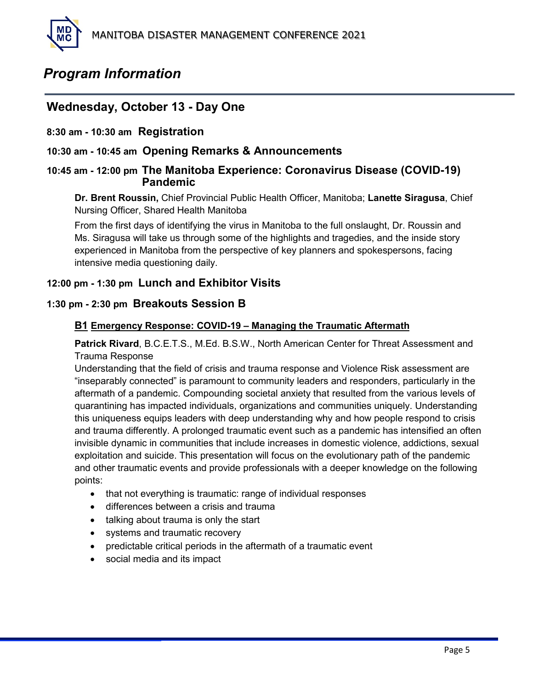### *Program Information*

### **Wednesday, October 13 - Day One**

#### **8:30 am - 10:30 am Registration**

#### **10:30 am - 10:45 am Opening Remarks & Announcements**

#### **10:45 am - 12:00 pm The Manitoba Experience: Coronavirus Disease (COVID-19) Pandemic**

**Dr. Brent Roussin,** Chief Provincial Public Health Officer, Manitoba; **Lanette Siragusa**, Chief Nursing Officer, Shared Health Manitoba

From the first days of identifying the virus in Manitoba to the full onslaught, Dr. Roussin and Ms. Siragusa will take us through some of the highlights and tragedies, and the inside story experienced in Manitoba from the perspective of key planners and spokespersons, facing intensive media questioning daily.

#### **12:00 pm - 1:30 pm Lunch and Exhibitor Visits**

#### **1:30 pm - 2:30 pm Breakouts Session B**

#### **B1 Emergency Response: COVID-19 – Managing the Traumatic Aftermath**

**Patrick Rivard**, B.C.E.T.S., M.Ed. B.S.W., North American Center for Threat Assessment and Trauma Response

Understanding that the field of crisis and trauma response and Violence Risk assessment are "inseparably connected" is paramount to community leaders and responders, particularly in the aftermath of a pandemic. Compounding societal anxiety that resulted from the various levels of quarantining has impacted individuals, organizations and communities uniquely. Understanding this uniqueness equips leaders with deep understanding why and how people respond to crisis and trauma differently. A prolonged traumatic event such as a pandemic has intensified an often invisible dynamic in communities that include increases in domestic violence, addictions, sexual exploitation and suicide. This presentation will focus on the evolutionary path of the pandemic and other traumatic events and provide professionals with a deeper knowledge on the following points:

- that not everything is traumatic: range of individual responses
- differences between a crisis and trauma
- talking about trauma is only the start
- systems and traumatic recovery
- predictable critical periods in the aftermath of a traumatic event
- social media and its impact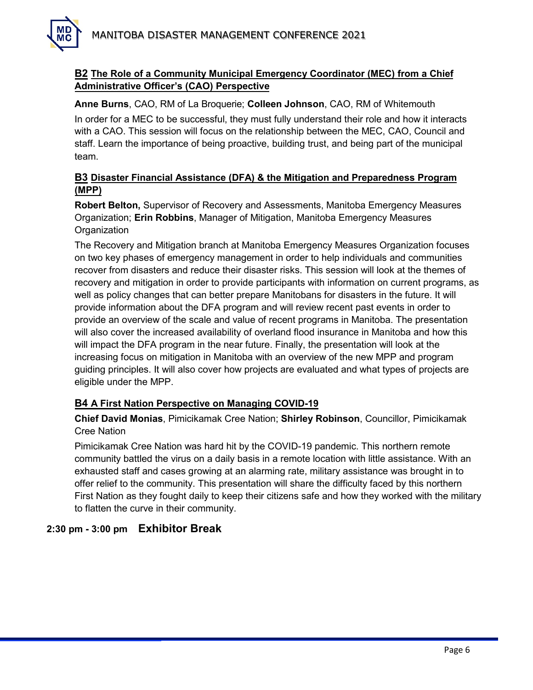

#### **B2 The Role of a Community Municipal Emergency Coordinator (MEC) from a Chief Administrative Officer's (CAO) Perspective**

**Anne Burns**, CAO, RM of La Broquerie; **Colleen Johnson**, CAO, RM of Whitemouth

In order for a MEC to be successful, they must fully understand their role and how it interacts with a CAO. This session will focus on the relationship between the MEC, CAO, Council and staff. Learn the importance of being proactive, building trust, and being part of the municipal team.

#### **B3 Disaster Financial Assistance (DFA) & the Mitigation and Preparedness Program (MPP)**

**Robert Belton,** Supervisor of Recovery and Assessments, Manitoba Emergency Measures Organization; **Erin Robbins**, Manager of Mitigation, Manitoba Emergency Measures **Organization** 

The Recovery and Mitigation branch at Manitoba Emergency Measures Organization focuses on two key phases of emergency management in order to help individuals and communities recover from disasters and reduce their disaster risks. This session will look at the themes of recovery and mitigation in order to provide participants with information on current programs, as well as policy changes that can better prepare Manitobans for disasters in the future. It will provide information about the DFA program and will review recent past events in order to provide an overview of the scale and value of recent programs in Manitoba. The presentation will also cover the increased availability of overland flood insurance in Manitoba and how this will impact the DFA program in the near future. Finally, the presentation will look at the increasing focus on mitigation in Manitoba with an overview of the new MPP and program guiding principles. It will also cover how projects are evaluated and what types of projects are eligible under the MPP.

#### **B4 A First Nation Perspective on Managing COVID-19**

**Chief David Monias**, Pimicikamak Cree Nation; **Shirley Robinson**, Councillor, Pimicikamak Cree Nation

Pimicikamak Cree Nation was hard hit by the COVID-19 pandemic. This northern remote community battled the virus on a daily basis in a remote location with little assistance. With an exhausted staff and cases growing at an alarming rate, military assistance was brought in to offer relief to the community. This presentation will share the difficulty faced by this northern First Nation as they fought daily to keep their citizens safe and how they worked with the military to flatten the curve in their community.

#### **2:30 pm - 3:00 pm Exhibitor Break**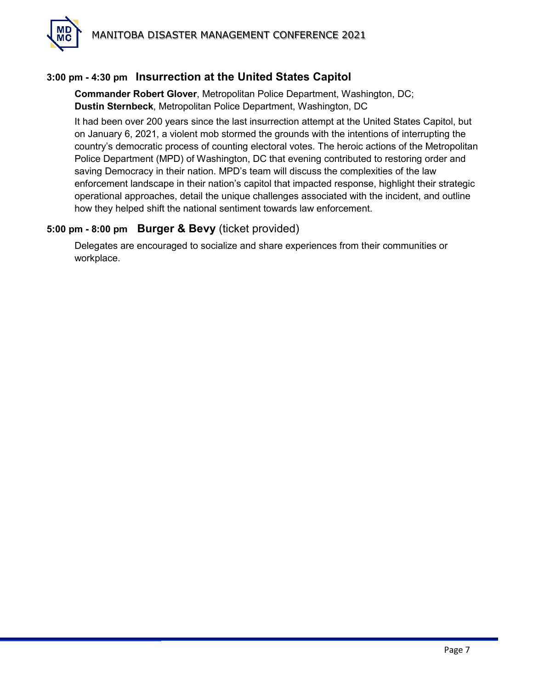

#### **3:00 pm - 4:30 pm Insurrection at the United States Capitol**

**Commander Robert Glover**, Metropolitan Police Department, Washington, DC; **Dustin Sternbeck**, Metropolitan Police Department, Washington, DC

It had been over 200 years since the last insurrection attempt at the United States Capitol, but on January 6, 2021, a violent mob stormed the grounds with the intentions of interrupting the country's democratic process of counting electoral votes. The heroic actions of the Metropolitan Police Department (MPD) of Washington, DC that evening contributed to restoring order and saving Democracy in their nation. MPD's team will discuss the complexities of the law enforcement landscape in their nation's capitol that impacted response, highlight their strategic operational approaches, detail the unique challenges associated with the incident, and outline how they helped shift the national sentiment towards law enforcement.

#### **5:00 pm - 8:00 pm Burger & Bevy** (ticket provided)

Delegates are encouraged to socialize and share experiences from their communities or workplace.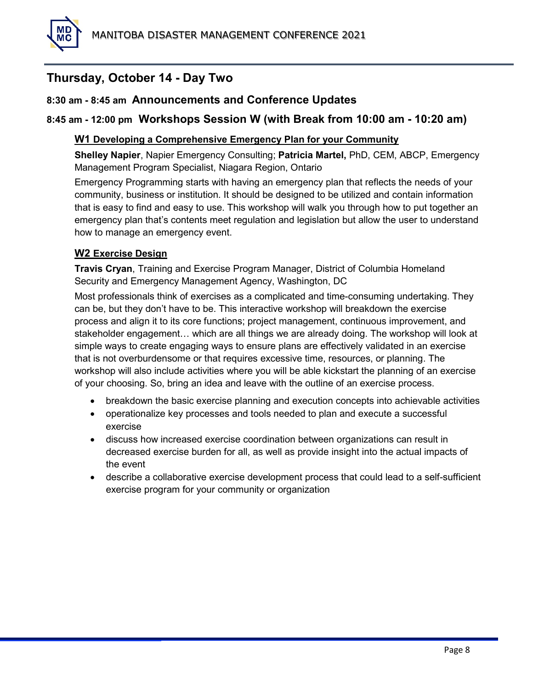# **Thursday, October 14 - Day Two**

#### **8:30 am - 8:45 am Announcements and Conference Updates**

#### **8:45 am - 12:00 pm Workshops Session W (with Break from 10:00 am - 10:20 am)**

#### **W1 Developing a Comprehensive Emergency Plan for your Community**

**Shelley Napier**, Napier Emergency Consulting; **Patricia Martel,** PhD, CEM, ABCP, Emergency Management Program Specialist, Niagara Region, Ontario

Emergency Programming starts with having an emergency plan that reflects the needs of your community, business or institution. It should be designed to be utilized and contain information that is easy to find and easy to use. This workshop will walk you through how to put together an emergency plan that's contents meet regulation and legislation but allow the user to understand how to manage an emergency event.

#### **W2 Exercise Design**

**Travis Cryan**, Training and Exercise Program Manager, District of Columbia Homeland Security and Emergency Management Agency, Washington, DC

Most professionals think of exercises as a complicated and time-consuming undertaking. They can be, but they don't have to be. This interactive workshop will breakdown the exercise process and align it to its core functions; project management, continuous improvement, and stakeholder engagement… which are all things we are already doing. The workshop will look at simple ways to create engaging ways to ensure plans are effectively validated in an exercise that is not overburdensome or that requires excessive time, resources, or planning. The workshop will also include activities where you will be able kickstart the planning of an exercise of your choosing. So, bring an idea and leave with the outline of an exercise process.

- breakdown the basic exercise planning and execution concepts into achievable activities
- operationalize key processes and tools needed to plan and execute a successful exercise
- discuss how increased exercise coordination between organizations can result in decreased exercise burden for all, as well as provide insight into the actual impacts of the event
- describe a collaborative exercise development process that could lead to a self-sufficient exercise program for your community or organization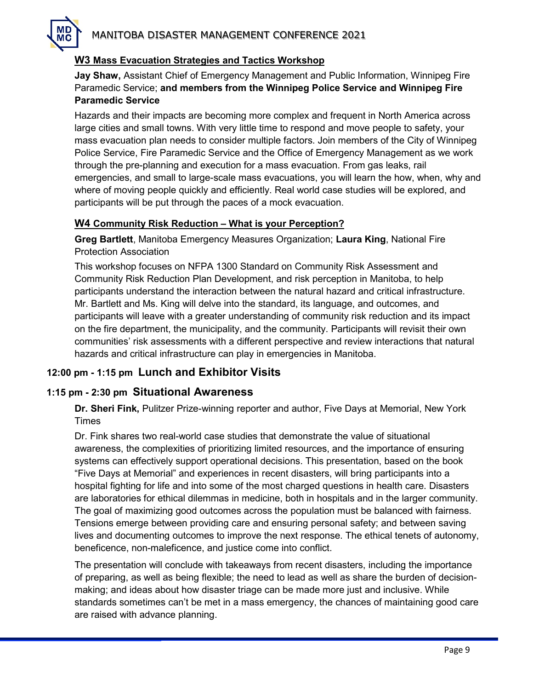#### **W3 Mass Evacuation Strategies and Tactics Workshop**

**Jay Shaw,** Assistant Chief of Emergency Management and Public Information, Winnipeg Fire Paramedic Service; **and members from the Winnipeg Police Service and Winnipeg Fire Paramedic Service**

Hazards and their impacts are becoming more complex and frequent in North America across large cities and small towns. With very little time to respond and move people to safety, your mass evacuation plan needs to consider multiple factors. Join members of the City of Winnipeg Police Service, Fire Paramedic Service and the Office of Emergency Management as we work through the pre-planning and execution for a mass evacuation. From gas leaks, rail emergencies, and small to large-scale mass evacuations, you will learn the how, when, why and where of moving people quickly and efficiently. Real world case studies will be explored, and participants will be put through the paces of a mock evacuation.

#### **W4 Community Risk Reduction – What is your Perception?**

**Greg Bartlett**, Manitoba Emergency Measures Organization; **Laura King**, National Fire Protection Association

This workshop focuses on NFPA 1300 Standard on Community Risk Assessment and Community Risk Reduction Plan Development, and risk perception in Manitoba, to help participants understand the interaction between the natural hazard and critical infrastructure. Mr. Bartlett and Ms. King will delve into the standard, its language, and outcomes, and participants will leave with a greater understanding of community risk reduction and its impact on the fire department, the municipality, and the community. Participants will revisit their own communities' risk assessments with a different perspective and review interactions that natural hazards and critical infrastructure can play in emergencies in Manitoba.

#### **12:00 pm - 1:15 pm Lunch and Exhibitor Visits**

#### **1:15 pm - 2:30 pm Situational Awareness**

**Dr. Sheri Fink,** Pulitzer Prize-winning reporter and author, Five Days at Memorial, New York Times

Dr. Fink shares two real-world case studies that demonstrate the value of situational awareness, the complexities of prioritizing limited resources, and the importance of ensuring systems can effectively support operational decisions. This presentation, based on the book "Five Days at Memorial" and experiences in recent disasters, will bring participants into a hospital fighting for life and into some of the most charged questions in health care. Disasters are laboratories for ethical dilemmas in medicine, both in hospitals and in the larger community. The goal of maximizing good outcomes across the population must be balanced with fairness. Tensions emerge between providing care and ensuring personal safety; and between saving lives and documenting outcomes to improve the next response. The ethical tenets of autonomy, beneficence, non-maleficence, and justice come into conflict.

The presentation will conclude with takeaways from recent disasters, including the importance of preparing, as well as being flexible; the need to lead as well as share the burden of decisionmaking; and ideas about how disaster triage can be made more just and inclusive. While standards sometimes can't be met in a mass emergency, the chances of maintaining good care are raised with advance planning.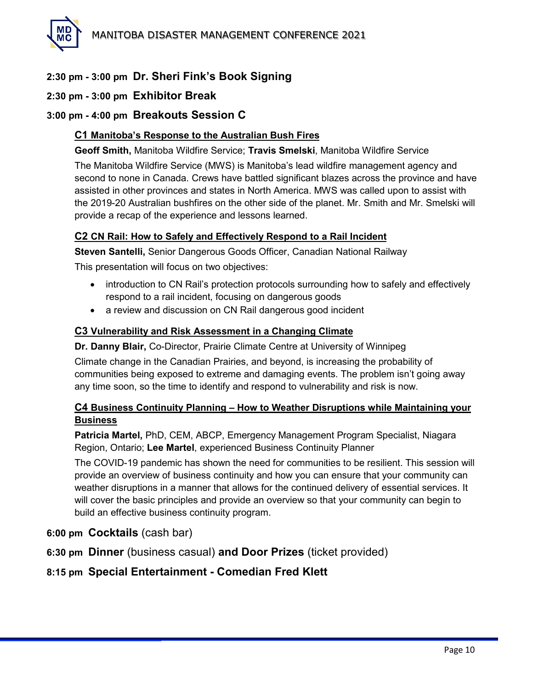

#### **2:30 pm - 3:00 pm Dr. Sheri Fink's Book Signing**

#### **2:30 pm - 3:00 pm Exhibitor Break**

#### **3:00 pm - 4:00 pm Breakouts Session C**

#### **C1 Manitoba's Response to the Australian Bush Fires**

**Geoff Smith,** Manitoba Wildfire Service; **Travis Smelski**, Manitoba Wildfire Service

The Manitoba Wildfire Service (MWS) is Manitoba's lead wildfire management agency and second to none in Canada. Crews have battled significant blazes across the province and have assisted in other provinces and states in North America. MWS was called upon to assist with the 2019-20 Australian bushfires on the other side of the planet. Mr. Smith and Mr. Smelski will provide a recap of the experience and lessons learned.

#### **C2 CN Rail: How to Safely and Effectively Respond to a Rail Incident**

**Steven Santelli,** Senior Dangerous Goods Officer, Canadian National Railway This presentation will focus on two objectives:

- introduction to CN Rail's protection protocols surrounding how to safely and effectively respond to a rail incident, focusing on dangerous goods
- a review and discussion on CN Rail dangerous good incident

#### **C3 Vulnerability and Risk Assessment in a Changing Climate**

#### **Dr. Danny Blair,** Co-Director, Prairie Climate Centre at University of Winnipeg

Climate change in the Canadian Prairies, and beyond, is increasing the probability of communities being exposed to extreme and damaging events. The problem isn't going away any time soon, so the time to identify and respond to vulnerability and risk is now.

#### **C4 Business Continuity Planning – How to Weather Disruptions while Maintaining your Business**

**Patricia Martel,** PhD, CEM, ABCP, Emergency Management Program Specialist, Niagara Region, Ontario; **Lee Martel**, experienced Business Continuity Planner

The COVID-19 pandemic has shown the need for communities to be resilient. This session will provide an overview of business continuity and how you can ensure that your community can weather disruptions in a manner that allows for the continued delivery of essential services. It will cover the basic principles and provide an overview so that your community can begin to build an effective business continuity program.

- **6:00 pm Cocktails** (cash bar)
- **6:30 pm Dinner** (business casual) **and Door Prizes** (ticket provided)

#### **8:15 pm Special Entertainment - Comedian Fred Klett**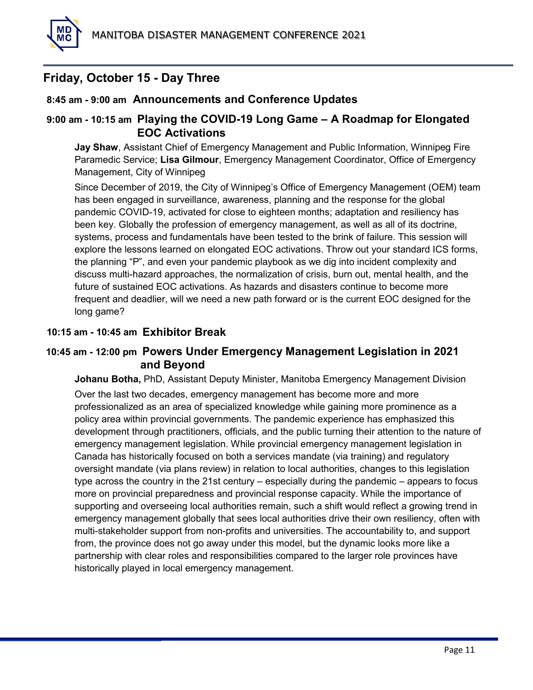#### **Friday, October 15 - Day Three**

#### **8:45 am - 9:00 am Announcements and Conference Updates**

#### **9:00 am - 10:15 am Playing the COVID-19 Long Game – A Roadmap for Elongated EOC Activations**

**Jay Shaw**, Assistant Chief of Emergency Management and Public Information, Winnipeg Fire Paramedic Service; **Lisa Gilmour**, Emergency Management Coordinator, Office of Emergency Management, City of Winnipeg

Since December of 2019, the City of Winnipeg's Office of Emergency Management (OEM) team has been engaged in surveillance, awareness, planning and the response for the global pandemic COVID-19, activated for close to eighteen months; adaptation and resiliency has been key. Globally the profession of emergency management, as well as all of its doctrine, systems, process and fundamentals have been tested to the brink of failure. This session will explore the lessons learned on elongated EOC activations. Throw out your standard ICS forms, the planning "P", and even your pandemic playbook as we dig into incident complexity and discuss multi-hazard approaches, the normalization of crisis, burn out, mental health, and the future of sustained EOC activations. As hazards and disasters continue to become more frequent and deadlier, will we need a new path forward or is the current EOC designed for the long game?

#### **10:15 am - 10:45 am Exhibitor Break**

#### **10:45 am - 12:00 pm Powers Under Emergency Management Legislation in 2021 and Beyond**

**Johanu Botha,** PhD, Assistant Deputy Minister, Manitoba Emergency Management Division

Over the last two decades, emergency management has become more and more professionalized as an area of specialized knowledge while gaining more prominence as a policy area within provincial governments. The pandemic experience has emphasized this development through practitioners, officials, and the public turning their attention to the nature of emergency management legislation. While provincial emergency management legislation in Canada has historically focused on both a services mandate (via training) and regulatory oversight mandate (via plans review) in relation to local authorities, changes to this legislation type across the country in the 21st century – especially during the pandemic – appears to focus more on provincial preparedness and provincial response capacity. While the importance of supporting and overseeing local authorities remain, such a shift would reflect a growing trend in emergency management globally that sees local authorities drive their own resiliency, often with multi-stakeholder support from non-profits and universities. The accountability to, and support from, the province does not go away under this model, but the dynamic looks more like a partnership with clear roles and responsibilities compared to the larger role provinces have historically played in local emergency management.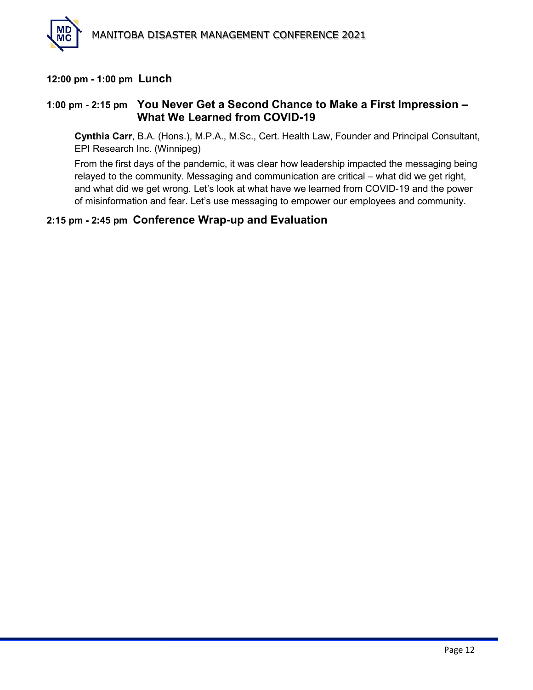

#### **12:00 pm - 1:00 pm Lunch**

#### **1:00 pm - 2:15 pm You Never Get a Second Chance to Make a First Impression – What We Learned from COVID-19**

**Cynthia Carr**, B.A. (Hons.), M.P.A., M.Sc., Cert. Health Law, Founder and Principal Consultant, EPI Research Inc. (Winnipeg)

From the first days of the pandemic, it was clear how leadership impacted the messaging being relayed to the community. Messaging and communication are critical – what did we get right, and what did we get wrong. Let's look at what have we learned from COVID-19 and the power of misinformation and fear. Let's use messaging to empower our employees and community.

#### **2:15 pm - 2:45 pm Conference Wrap-up and Evaluation**